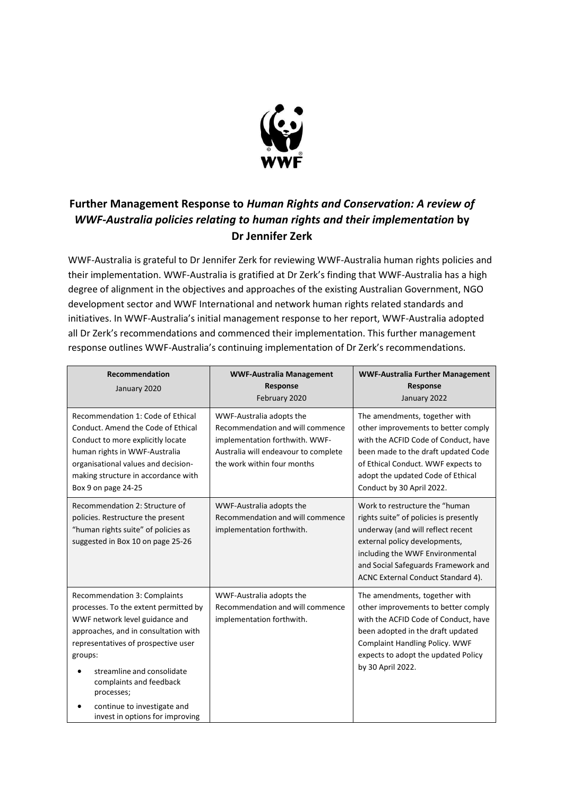

## **Further Management Response to** *Human Rights and Conservation: A review of WWF-Australia policies relating to human rights and their implementation* **by Dr Jennifer Zerk**

WWF-Australia is grateful to Dr Jennifer Zerk for reviewing WWF-Australia human rights policies and their implementation. WWF-Australia is gratified at Dr Zerk's finding that WWF-Australia has a high degree of alignment in the objectives and approaches of the existing Australian Government, NGO development sector and WWF International and network human rights related standards and initiatives. In WWF-Australia's initial management response to her report, WWF-Australia adopted all Dr Zerk's recommendations and commenced their implementation. This further management response outlines WWF-Australia's continuing implementation of Dr Zerk's recommendations.

| <b>Recommendation</b><br>January 2020                                                                                                                                                                                                                                                                                                      | <b>WWF-Australia Management</b><br>Response<br>February 2020                                                                                                          | <b>WWF-Australia Further Management</b><br>Response<br>January 2022                                                                                                                                                                                            |
|--------------------------------------------------------------------------------------------------------------------------------------------------------------------------------------------------------------------------------------------------------------------------------------------------------------------------------------------|-----------------------------------------------------------------------------------------------------------------------------------------------------------------------|----------------------------------------------------------------------------------------------------------------------------------------------------------------------------------------------------------------------------------------------------------------|
| Recommendation 1: Code of Ethical<br>Conduct. Amend the Code of Ethical<br>Conduct to more explicitly locate<br>human rights in WWF-Australia<br>organisational values and decision-<br>making structure in accordance with<br>Box 9 on page 24-25                                                                                         | WWF-Australia adopts the<br>Recommendation and will commence<br>implementation forthwith. WWF-<br>Australia will endeavour to complete<br>the work within four months | The amendments, together with<br>other improvements to better comply<br>with the ACFID Code of Conduct, have<br>been made to the draft updated Code<br>of Ethical Conduct. WWF expects to<br>adopt the updated Code of Ethical<br>Conduct by 30 April 2022.    |
| Recommendation 2: Structure of<br>policies. Restructure the present<br>"human rights suite" of policies as<br>suggested in Box 10 on page 25-26                                                                                                                                                                                            | WWF-Australia adopts the<br>Recommendation and will commence<br>implementation forthwith.                                                                             | Work to restructure the "human<br>rights suite" of policies is presently<br>underway (and will reflect recent<br>external policy developments,<br>including the WWF Environmental<br>and Social Safeguards Framework and<br>ACNC External Conduct Standard 4). |
| Recommendation 3: Complaints<br>processes. To the extent permitted by<br>WWF network level guidance and<br>approaches, and in consultation with<br>representatives of prospective user<br>groups:<br>streamline and consolidate<br>complaints and feedback<br>processes;<br>continue to investigate and<br>invest in options for improving | WWF-Australia adopts the<br>Recommendation and will commence<br>implementation forthwith.                                                                             | The amendments, together with<br>other improvements to better comply<br>with the ACFID Code of Conduct, have<br>been adopted in the draft updated<br><b>Complaint Handling Policy. WWF</b><br>expects to adopt the updated Policy<br>by 30 April 2022.         |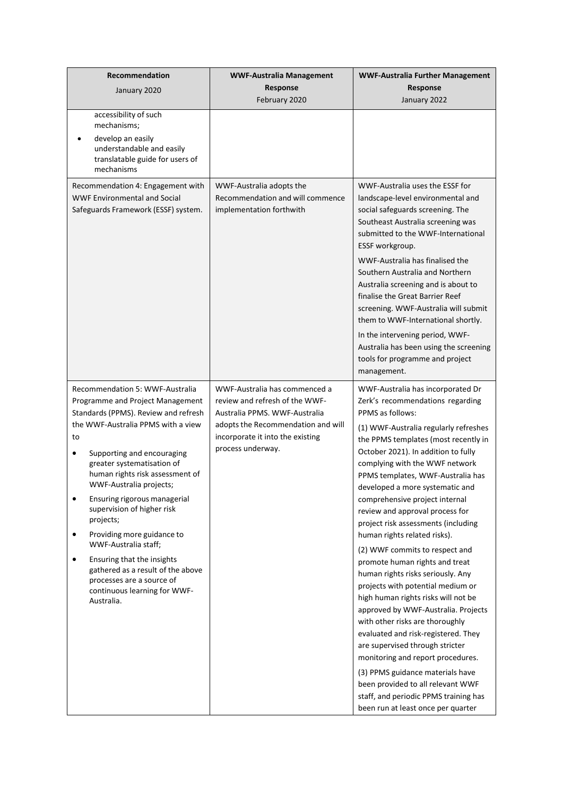| <b>Recommendation</b><br>January 2020                                                                                                                                                                                                                                                                                                                                                                                                                                                                                                                                                           | <b>WWF-Australia Management</b><br>Response<br>February 2020                                                                                                                                    | <b>WWF-Australia Further Management</b><br>Response<br>January 2022                                                                                                                                                                                                                                                                                                                                                                                                                                                                                                                                                                                                                                                                                                                                                                                                                                                                                                                                                  |
|-------------------------------------------------------------------------------------------------------------------------------------------------------------------------------------------------------------------------------------------------------------------------------------------------------------------------------------------------------------------------------------------------------------------------------------------------------------------------------------------------------------------------------------------------------------------------------------------------|-------------------------------------------------------------------------------------------------------------------------------------------------------------------------------------------------|----------------------------------------------------------------------------------------------------------------------------------------------------------------------------------------------------------------------------------------------------------------------------------------------------------------------------------------------------------------------------------------------------------------------------------------------------------------------------------------------------------------------------------------------------------------------------------------------------------------------------------------------------------------------------------------------------------------------------------------------------------------------------------------------------------------------------------------------------------------------------------------------------------------------------------------------------------------------------------------------------------------------|
| accessibility of such<br>mechanisms;<br>develop an easily<br>understandable and easily<br>translatable guide for users of<br>mechanisms                                                                                                                                                                                                                                                                                                                                                                                                                                                         |                                                                                                                                                                                                 |                                                                                                                                                                                                                                                                                                                                                                                                                                                                                                                                                                                                                                                                                                                                                                                                                                                                                                                                                                                                                      |
| Recommendation 4: Engagement with<br><b>WWF Environmental and Social</b><br>Safeguards Framework (ESSF) system.                                                                                                                                                                                                                                                                                                                                                                                                                                                                                 | WWF-Australia adopts the<br>Recommendation and will commence<br>implementation forthwith                                                                                                        | WWF-Australia uses the ESSF for<br>landscape-level environmental and<br>social safeguards screening. The<br>Southeast Australia screening was<br>submitted to the WWF-International<br>ESSF workgroup.<br>WWF-Australia has finalised the<br>Southern Australia and Northern<br>Australia screening and is about to<br>finalise the Great Barrier Reef<br>screening. WWF-Australia will submit<br>them to WWF-International shortly.<br>In the intervening period, WWF-<br>Australia has been using the screening<br>tools for programme and project<br>management.                                                                                                                                                                                                                                                                                                                                                                                                                                                  |
| Recommendation 5: WWF-Australia<br>Programme and Project Management<br>Standards (PPMS). Review and refresh<br>the WWF-Australia PPMS with a view<br>to<br>Supporting and encouraging<br>$\bullet$<br>greater systematisation of<br>human rights risk assessment of<br>WWF-Australia projects;<br>Ensuring rigorous managerial<br>supervision of higher risk<br>projects;<br>Providing more guidance to<br>٠<br>WWF-Australia staff;<br>Ensuring that the insights<br>$\bullet$<br>gathered as a result of the above<br>processes are a source of<br>continuous learning for WWF-<br>Australia. | WWF-Australia has commenced a<br>review and refresh of the WWF-<br>Australia PPMS. WWF-Australia<br>adopts the Recommendation and will<br>incorporate it into the existing<br>process underway. | WWF-Australia has incorporated Dr<br>Zerk's recommendations regarding<br><b>PPMS</b> as follows:<br>(1) WWF-Australia regularly refreshes<br>the PPMS templates (most recently in<br>October 2021). In addition to fully<br>complying with the WWF network<br>PPMS templates, WWF-Australia has<br>developed a more systematic and<br>comprehensive project internal<br>review and approval process for<br>project risk assessments (including<br>human rights related risks).<br>(2) WWF commits to respect and<br>promote human rights and treat<br>human rights risks seriously. Any<br>projects with potential medium or<br>high human rights risks will not be<br>approved by WWF-Australia. Projects<br>with other risks are thoroughly<br>evaluated and risk-registered. They<br>are supervised through stricter<br>monitoring and report procedures.<br>(3) PPMS guidance materials have<br>been provided to all relevant WWF<br>staff, and periodic PPMS training has<br>been run at least once per quarter |